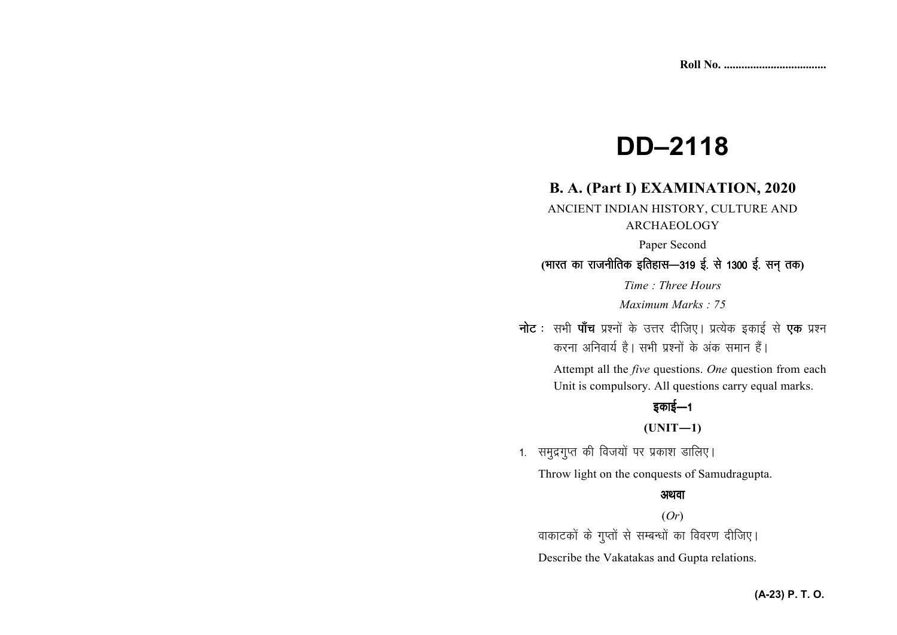# **DD–2118**

## **B. A. (Part I) EXAMINATION, 2020**

ANCIENT INDIAN HISTORY, CULTURE AND ARCHAEOLOGY

Paper Second

## (भारत का राजनीतिक इतिहास—319 ई. से 1300 ई. सन् तक)

*Time : Three Hours* 

*Maximum Marks : 75*

नोट : सभी पाँच प्रश्नों के उत्तर दीजिए। प्रत्येक इकाई से एक प्रश्न करना अनिवार्य है। सभी प्रश्नों के अंक समान हैं।

> Attempt all the *five* questions. *One* question from each Unit is compulsory. All questions carry equal marks.

## डकाई $-1$

**(UNIT—1)** 

1. समुद्रगुप्त की विजयों पर प्रकाश डालिए।

Throw light on the conquests of Samudragupta.

#### अथवा

(*Or*) वाकाटकों के गुप्तों से सम्बन्धों का विवरण दीजिए। Describe the Vakatakas and Gupta relations.

#### **(A-23) P. T. O.**